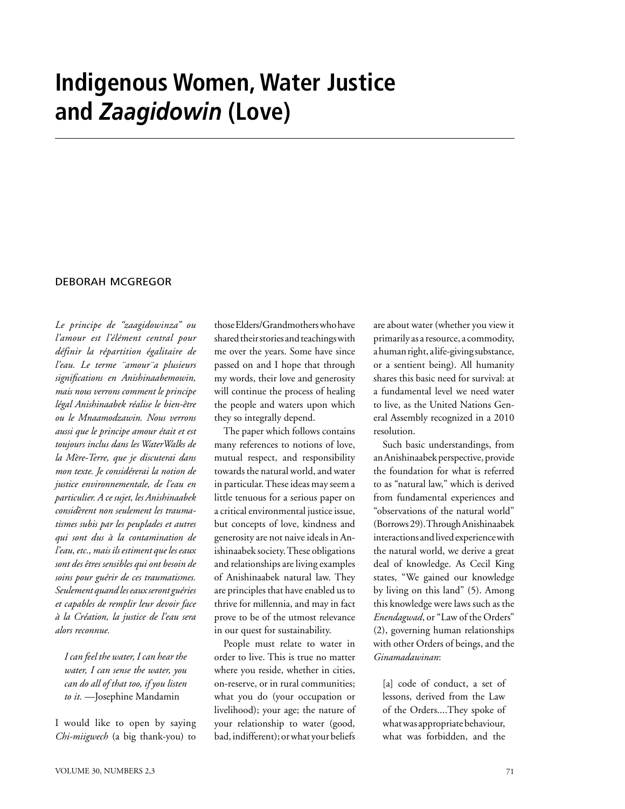# **Indigenous Women, Water Justice and** *Zaagidowin* **(Love)**

#### deborah mcgregor

*Le principe de "zaagidowinza" ou l'amour est l'élément central pour définir la répartition égalitaire de l'eau. Le terme ¨amour¨a plusieurs significations en Anishinaabemowin, mais nous verrons comment le principe légal Anishinaabek réalise le bien-être ou le Mnaamodzawin. Nous verrons aussi que le principe amour était et est toujours inclus dans les WaterWalks de la Mère-Terre, que je discuterai dans mon texte. Je considérerai la notion de justice environnementale, de l'eau en particulier. A ce sujet, les Anishinaabek considèrent non seulement les traumatismes subis par les peuplades et autres qui sont dus à la contamination de l'eau, etc., mais ils estiment que les eaux sont des êtres sensibles qui ont besoin de soins pour guérir de ces traumatismes. Seulement quand les eaux seront guéries et capables de remplir leur devoir face à la Création, la justice de l'eau sera alors reconnue.*

*I can feel the water, I can hear the water, I can sense the water, you can do all of that too, if you listen to it.* —Josephine Mandamin

I would like to open by saying *Chi-miigwech* (a big thank-you) to

those Elders/Grandmothers who have shared their stories and teachings with me over the years. Some have since passed on and I hope that through my words, their love and generosity will continue the process of healing the people and waters upon which they so integrally depend.

The paper which follows contains many references to notions of love, mutual respect, and responsibility towards the natural world, and water in particular. These ideas may seem a little tenuous for a serious paper on a critical environmental justice issue, but concepts of love, kindness and generosity are not naive ideals in Anishinaabek society. These obligations and relationships are living examples of Anishinaabek natural law. They are principles that have enabled us to thrive for millennia, and may in fact prove to be of the utmost relevance in our quest for sustainability.

People must relate to water in order to live. This is true no matter where you reside, whether in cities, on-reserve, or in rural communities; what you do (your occupation or livelihood); your age; the nature of your relationship to water (good, bad, indifferent); or what your beliefs

are about water (whether you view it primarily as a resource, a commodity, a human right, a life-giving substance, or a sentient being). All humanity shares this basic need for survival: at a fundamental level we need water to live, as the United Nations General Assembly recognized in a 2010 resolution.

Such basic understandings, from an Anishinaabek perspective, provide the foundation for what is referred to as "natural law," which is derived from fundamental experiences and "observations of the natural world" (Borrows 29). Through Anishinaabek interactions and lived experience with the natural world, we derive a great deal of knowledge. As Cecil King states, "We gained our knowledge by living on this land" (5). Among this knowledge were laws such as the *Enendagwad*, or "Law of the Orders" (2), governing human relationships with other Orders of beings, and the *Ginamadawinan*:

[a] code of conduct, a set of lessons, derived from the Law of the Orders....They spoke of what was appropriate behaviour, what was forbidden, and the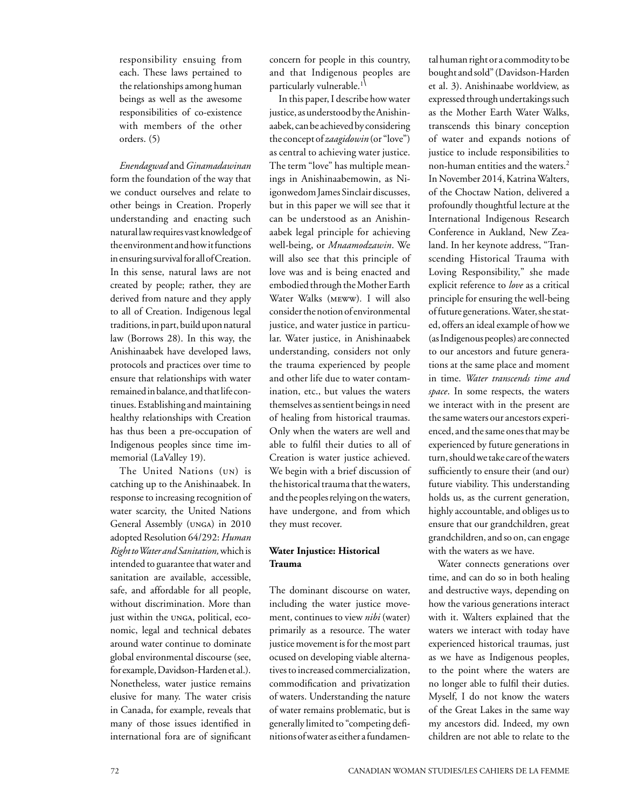responsibility ensuing from each. These laws pertained to the relationships among human beings as well as the awesome responsibilities of co-existence with members of the other orders. (5)

*Enendagwad* and *Ginamadawinan* form the foundation of the way that we conduct ourselves and relate to other beings in Creation. Properly understanding and enacting such natural law requires vast knowledge of the environment and how it functions in ensuring survival for all of Creation. In this sense, natural laws are not created by people; rather, they are derived from nature and they apply to all of Creation. Indigenous legal traditions, in part, build upon natural law (Borrows 28). In this way, the Anishinaabek have developed laws, protocols and practices over time to ensure that relationships with water remained in balance, and that life continues. Establishing and maintaining healthy relationships with Creation has thus been a pre-occupation of Indigenous peoples since time immemorial (LaValley 19).

The United Nations (un) is catching up to the Anishinaabek. In response to increasing recognition of water scarcity, the United Nations General Assembly (unga) in 2010 adopted Resolution 64/292: *Human Right to Water and Sanitation,* which is intended to guarantee that water and sanitation are available, accessible, safe, and affordable for all people, without discrimination. More than just within the unga, political, economic, legal and technical debates around water continue to dominate global environmental discourse (see, for example, Davidson-Harden et al.). Nonetheless, water justice remains elusive for many. The water crisis in Canada, for example, reveals that many of those issues identified in international fora are of significant

concern for people in this country, and that Indigenous peoples are particularly vulnerable.<sup>1</sup>

In this paper, I describe how water justice, as understood by the Anishinaabek, can be achieved by considering the concept of *zaagidowin* (or "love") as central to achieving water justice. The term "love" has multiple meanings in Anishinaabemowin, as Niigonwedom James Sinclair discusses, but in this paper we will see that it can be understood as an Anishinaabek legal principle for achieving well-being, or *Mnaamodzawin*. We will also see that this principle of love was and is being enacted and embodied through the Mother Earth Water Walks (meww)*.* I will also consider the notion of environmental justice, and water justice in particular. Water justice, in Anishinaabek understanding, considers not only the trauma experienced by people and other life due to water contamination, etc., but values the waters themselves as sentient beings in need of healing from historical traumas. Only when the waters are well and able to fulfil their duties to all of Creation is water justice achieved. We begin with a brief discussion of the historical trauma that the waters, and the peoples relying on the waters, have undergone, and from which they must recover.

#### **Water Injustice: Historical Trauma**

The dominant discourse on water, including the water justice movement, continues to view *nibi* (water) primarily as a resource. The water justice movement is for the most part ocused on developing viable alternatives to increased commercialization, commodification and privatization of waters. Understanding the nature of water remains problematic, but is generally limited to "competing definitions of water as either a fundamen-

tal human right or a commodity to be bought and sold" (Davidson-Harden et al. 3). Anishinaabe worldview, as expressed through undertakings such as the Mother Earth Water Walks, transcends this binary conception of water and expands notions of justice to include responsibilities to non-human entities and the waters.2 In November 2014, Katrina Walters, of the Choctaw Nation, delivered a profoundly thoughtful lecture at the International Indigenous Research Conference in Aukland, New Zealand. In her keynote address, "Transcending Historical Trauma with Loving Responsibility," she made explicit reference to *love* as a critical principle for ensuring the well-being of future generations. Water, she stated, offers an ideal example of how we (as Indigenous peoples) are connected to our ancestors and future generations at the same place and moment in time. *Water transcends time and space*. In some respects, the waters we interact with in the present are the same waters our ancestors experienced, and the same ones that may be experienced by future generations in turn, should we take care of the waters sufficiently to ensure their (and our) future viability. This understanding holds us, as the current generation, highly accountable, and obliges us to ensure that our grandchildren, great grandchildren, and so on, can engage with the waters as we have.

Water connects generations over time, and can do so in both healing and destructive ways, depending on how the various generations interact with it. Walters explained that the waters we interact with today have experienced historical traumas, just as we have as Indigenous peoples, to the point where the waters are no longer able to fulfil their duties. Myself, I do not know the waters of the Great Lakes in the same way my ancestors did. Indeed, my own children are not able to relate to the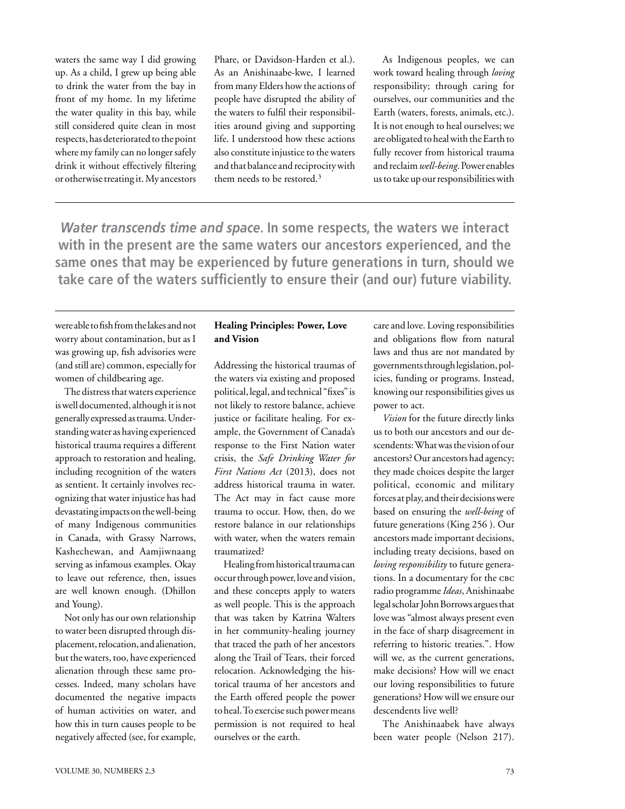waters the same way I did growing up. As a child, I grew up being able to drink the water from the bay in front of my home. In my lifetime the water quality in this bay, while still considered quite clean in most respects, has deteriorated to the point where my family can no longer safely drink it without effectively filtering or otherwise treating it. My ancestors

Phare, or Davidson-Harden et al.). As an Anishinaabe-kwe, I learned from many Elders how the actions of people have disrupted the ability of the waters to fulfil their responsibilities around giving and supporting life. I understood how these actions also constitute injustice to the waters and that balance and reciprocity with them needs to be restored.<sup>3</sup>

As Indigenous peoples, we can work toward healing through *loving*  responsibility; through caring for ourselves, our communities and the Earth (waters, forests, animals, etc.). It is not enough to heal ourselves; we are obligated to heal with the Earth to fully recover from historical trauma and reclaim *well-being*. Power enables us to take up our responsibilities with

*Water transcends time and space***. In some respects, the waters we interact with in the present are the same waters our ancestors experienced, and the same ones that may be experienced by future generations in turn, should we take care of the waters sufficiently to ensure their (and our) future viability.**

were able to fish from the lakes and not worry about contamination, but as I was growing up, fish advisories were (and still are) common, especially for women of childbearing age.

The distress that waters experience is well documented, although it is not generally expressed as trauma. Understanding water as having experienced historical trauma requires a different approach to restoration and healing, including recognition of the waters as sentient. It certainly involves recognizing that water injustice has had devastating impacts on the well-being of many Indigenous communities in Canada, with Grassy Narrows, Kashechewan, and Aamjiwnaang serving as infamous examples. Okay to leave out reference, then, issues are well known enough. (Dhillon and Young).

Not only has our own relationship to water been disrupted through displacement, relocation, and alienation, but the waters, too, have experienced alienation through these same processes. Indeed, many scholars have documented the negative impacts of human activities on water, and how this in turn causes people to be negatively affected (see, for example,

#### **Healing Principles: Power, Love and Vision**

Addressing the historical traumas of the waters via existing and proposed political, legal, and technical "fixes" is not likely to restore balance, achieve justice or facilitate healing. For example, the Government of Canada's response to the First Nation water crisis, the *Safe Drinking Water for First Nations Act* (2013), does not address historical trauma in water. The Act may in fact cause more trauma to occur. How, then, do we restore balance in our relationships with water, when the waters remain traumatized?

Healing from historical trauma can occur through power, love and vision, and these concepts apply to waters as well people. This is the approach that was taken by Katrina Walters in her community-healing journey that traced the path of her ancestors along the Trail of Tears, their forced relocation. Acknowledging the historical trauma of her ancestors and the Earth offered people the power to heal. To exercise such power means permission is not required to heal ourselves or the earth.

care and love. Loving responsibilities and obligations flow from natural laws and thus are not mandated by governments through legislation, policies, funding or programs. Instead, knowing our responsibilities gives us power to act.

*Vision* for the future directly links us to both our ancestors and our descendents: What was the vision of our ancestors? Our ancestors had agency; they made choices despite the larger political, economic and military forces at play, and their decisions were based on ensuring the *well-being* of future generations (King 256 ). Our ancestors made important decisions, including treaty decisions, based on *loving responsibility* to future generations. In a documentary for the CBC radio programme *Ideas*, Anishinaabe legal scholar John Borrows argues that love was "almost always present even in the face of sharp disagreement in referring to historic treaties.". How will we, as the current generations, make decisions? How will we enact our loving responsibilities to future generations? How will we ensure our descendents live well?

The Anishinaabek have always been water people (Nelson 217).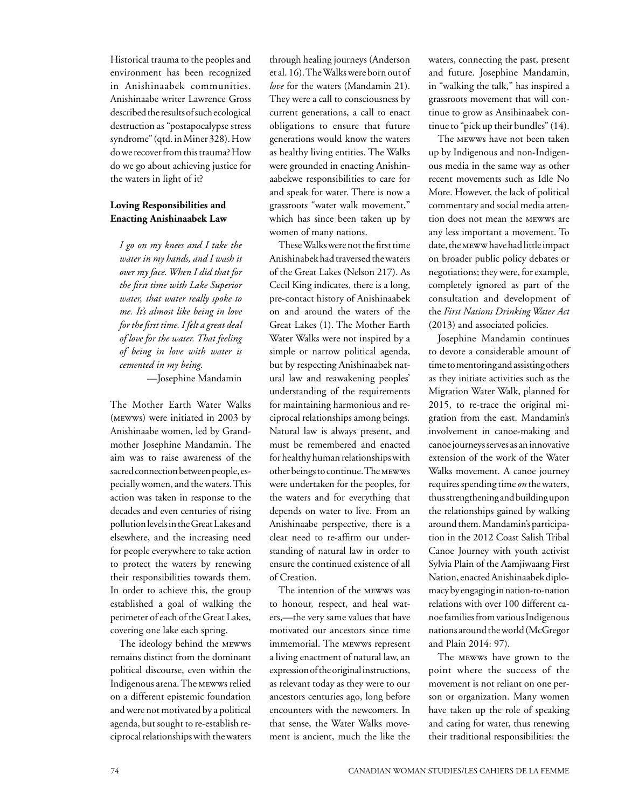Historical trauma to the peoples and environment has been recognized in Anishinaabek communities. Anishinaabe writer Lawrence Gross described the results of such ecological destruction as "postapocalypse stress syndrome" (qtd. in Miner 328). How do we recover from this trauma? How do we go about achieving justice for the waters in light of it?

#### **Loving Responsibilities and Enacting Anishinaabek Law**

*I go on my knees and I take the water in my hands, and I wash it over my face. When I did that for the first time with Lake Superior water, that water really spoke to me. It's almost like being in love for the first time. I felt a great deal of love for the water. That feeling of being in love with water is cemented in my being.*

—Josephine Mandamin

The Mother Earth Water Walks (mewws) were initiated in 2003 by Anishinaabe women, led by Grandmother Josephine Mandamin. The aim was to raise awareness of the sacred connection between people, especially women, and the waters. This action was taken in response to the decades and even centuries of rising pollution levels in the Great Lakes and elsewhere, and the increasing need for people everywhere to take action to protect the waters by renewing their responsibilities towards them. In order to achieve this, the group established a goal of walking the perimeter of each of the Great Lakes, covering one lake each spring.

The ideology behind the mewws remains distinct from the dominant political discourse, even within the Indigenous arena. The mewws relied on a different epistemic foundation and were not motivated by a political agenda, but sought to re-establish reciprocal relationships with the waters

through healing journeys (Anderson et al. 16). The Walks were born out of *love* for the waters (Mandamin 21). They were a call to consciousness by current generations, a call to enact obligations to ensure that future generations would know the waters as healthy living entities. The Walks were grounded in enacting Anishinaabekwe responsibilities to care for and speak for water. There is now a grassroots "water walk movement," which has since been taken up by women of many nations.

These Walks were not the first time Anishinabek had traversed the waters of the Great Lakes (Nelson 217). As Cecil King indicates, there is a long, pre-contact history of Anishinaabek on and around the waters of the Great Lakes (1). The Mother Earth Water Walks were not inspired by a simple or narrow political agenda, but by respecting Anishinaabek natural law and reawakening peoples' understanding of the requirements for maintaining harmonious and reciprocal relationships among beings*.* Natural law is always present, and must be remembered and enacted for healthy human relationships with other beings to continue. The mewws were undertaken for the peoples, for the waters and for everything that depends on water to live. From an Anishinaabe perspective, there is a clear need to re-affirm our understanding of natural law in order to ensure the continued existence of all of Creation.

The intention of the mewws was to honour, respect, and heal waters,—the very same values that have motivated our ancestors since time immemorial. The mewws represent a living enactment of natural law, an expression of the original instructions, as relevant today as they were to our ancestors centuries ago, long before encounters with the newcomers. In that sense, the Water Walks movement is ancient, much the like the waters, connecting the past, present and future. Josephine Mandamin, in "walking the talk," has inspired a grassroots movement that will continue to grow as Ansihinaabek continue to "pick up their bundles" (14).

The mewws have not been taken up by Indigenous and non-Indigenous media in the same way as other recent movements such as Idle No More. However, the lack of political commentary and social media attention does not mean the mewws are any less important a movement. To date, the meww have had little impact on broader public policy debates or negotiations; they were, for example, completely ignored as part of the consultation and development of the *First Nations Drinking Water Act* (2013) and associated policies.

Josephine Mandamin continues to devote a considerable amount of time to mentoring and assisting others as they initiate activities such as the Migration Water Walk, planned for 2015, to re-trace the original migration from the east. Mandamin's involvement in canoe-making and canoe journeys serves as an innovative extension of the work of the Water Walks movement. A canoe journey requires spending time *on* the waters, thus strengthening and building upon the relationships gained by walking around them. Mandamin's participation in the 2012 Coast Salish Tribal Canoe Journey with youth activist Sylvia Plain of the Aamjiwaang First Nation, enacted Anishinaabek diplomacy by engaging in nation-to-nation relations with over 100 different canoe families from various Indigenous nations around the world (McGregor and Plain 2014: 97).

The mewws have grown to the point where the success of the movement is not reliant on one person or organization. Many women have taken up the role of speaking and caring for water, thus renewing their traditional responsibilities: the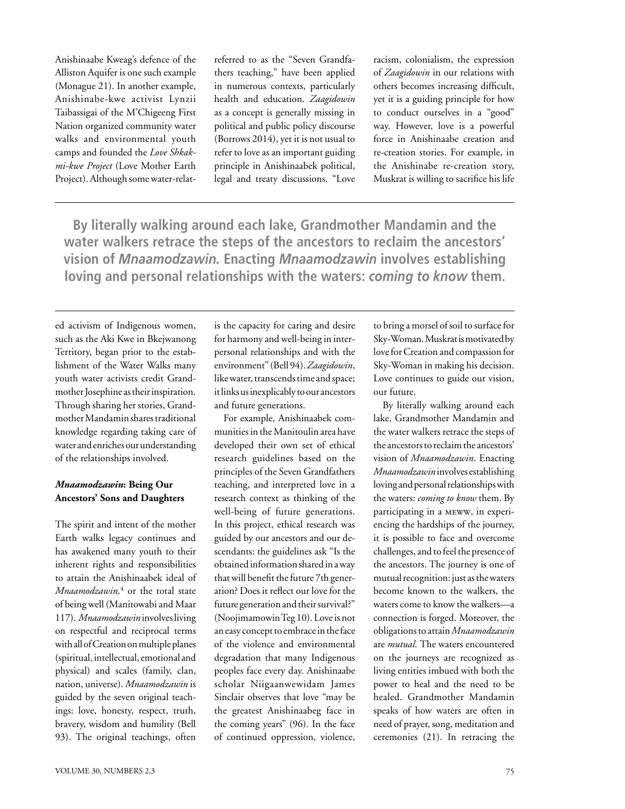Anishinaabe Kweag's defence of the Alliston Aquifer is one such example (Monague 21). In another example, Anishinabe-kwe activist Lynzii Taibassigai of the M'Chigeeng First Nation organized community water walks and environmental youth camps and founded the *Love Shkakmi-kwe Project* (Love Mother Earth Project). Although some water-relatreferred to as the "Seven Grandfathers teaching," have been applied in numerous contexts, particularly health and education. *Zaagidowin* as a concept is generally missing in political and public policy discourse (Borrows 2014), yet it is not usual to refer to love as an important guiding principle in Anishinaabek political, legal and treaty discussions. "Love

racism, colonialism, the expression of *Zaagidowin* in our relations with others becomes increasing difficult, yet it is a guiding principle for how to conduct ourselves in a "good" way. However, love is a powerful force in Anishinaabe creation and re-creation stories. For example, in the Anishinabe re-creation story, Muskrat is willing to sacrifice his life

**By literally walking around each lake, Grandmother Mandamin and the water walkers retrace the steps of the ancestors to reclaim the ancestors' vision of** *Mnaamodzawin.* **Enacting** *Mnaamodzawin* **involves establishing loving and personal relationships with the waters:** *coming to know* **them.**

ed activism of Indigenous women, such as the Aki Kwe in Bkejwanong Territory, began prior to the establishment of the Water Walks many youth water activists credit Grandmother Josephine as their inspiration. Through sharing her stories, Grandmother Mandamin shares traditional knowledge regarding taking care of water and enriches our understanding of the relationships involved.

#### *Mnaamodzawin***: Being Our Ancestors' Sons and Daughters**

The spirit and intent of the mother Earth walks legacy continues and has awakened many youth to their inherent rights and responsibilities to attain the Anishinaabek ideal of *Mnaamodzawin,*<sup>4</sup> or the total state of being well (Manitowabi and Maar 117). *Mnaamodzawin* involves living on respectful and reciprocal terms with all of Creation on multiple planes (spiritual, intellectual, emotional and physical) and scales (family, clan, nation, universe). *Mnaamodzawin* is guided by the seven original teachings: love, honesty, respect, truth, bravery, wisdom and humility (Bell 93). The original teachings, often

is the capacity for caring and desire for harmony and well-being in interpersonal relationships and with the environment" (Bell 94). *Zaagidowin*, like water, transcends time and space; it links us inexplicably to our ancestors and future generations.

For example, Anishinaabek communities in the Manitoulin area have developed their own set of ethical research guidelines based on the principles of the Seven Grandfathers teaching, and interpreted love in a research context as thinking of the well-being of future generations. In this project, ethical research was guided by our ancestors and our descendants: the guidelines ask "Is the obtained information shared in a way that will benefit the future 7th generation? Does it reflect our love for the future generation and their survival?" (Noojimamowin Teg 10). Love is not an easy concept to embrace in the face of the violence and environmental degradation that many Indigenous peoples face every day. Anishinaabe scholar Niigaanwewidam James Sinclair observes that love "may be the greatest Anishinaabeg face in the coming years" (96). In the face of continued oppression, violence,

to bring a morsel of soil to surface for Sky-Woman. Muskrat is motivated by love for Creation and compassion for Sky-Woman in making his decision. Love continues to guide our vision, our future.

By literally walking around each lake, Grandmother Mandamin and the water walkers retrace the steps of the ancestors to reclaim the ancestors' vision of *Mnaamodzawin*. Enacting *Mnaamodzawin* involves establishing loving and personal relationships with the waters: *coming to know* them. By participating in a meww, in experiencing the hardships of the journey, it is possible to face and overcome challenges, and to feel the presence of the ancestors. The journey is one of mutual recognition: just as the waters become known to the walkers, the waters come to know the walkers—a connection is forged. Moreover, the obligations to attain *Mnaamodzawin*  are *mutual.* The waters encountered on the journeys are recognized as living entities imbued with both the power to heal and the need to be healed. Grandmother Mandamin speaks of how waters are often in need of prayer, song, meditation and ceremonies (21). In retracing the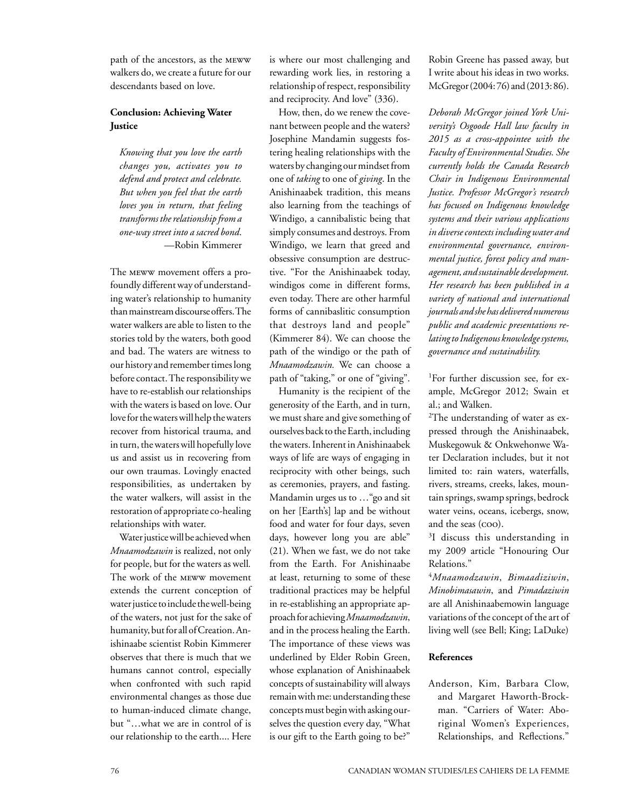path of the ancestors, as the meww walkers do, we create a future for our descendants based on love.

#### **Conclusion: Achieving Water Justice**

*Knowing that you love the earth changes you, activates you to defend and protect and celebrate. But when you feel that the earth loves you in return, that feeling transforms the relationship from a one-way street into a sacred bond*. —Robin Kimmerer

The meww movement offers a profoundly different way of understanding water's relationship to humanity than mainstream discourse offers. The water walkers are able to listen to the stories told by the waters, both good and bad. The waters are witness to our history and remember times long before contact. The responsibility we have to re-establish our relationships with the waters is based on love. Our love for the waters will help the waters recover from historical trauma, and in turn, the waters will hopefully love us and assist us in recovering from our own traumas. Lovingly enacted responsibilities, as undertaken by the water walkers, will assist in the restoration of appropriate co-healing relationships with water.

Water justice will be achieved when *Mnaamodzawin* is realized, not only for people, but for the waters as well*.*  The work of the meww movement extends the current conception of water justice to include the well-being of the waters, not just for the sake of humanity, but for all of Creation. Anishinaabe scientist Robin Kimmerer observes that there is much that we humans cannot control, especially when confronted with such rapid environmental changes as those due to human-induced climate change, but "…what we are in control of is our relationship to the earth.... Here

is where our most challenging and rewarding work lies, in restoring a relationship of respect, responsibility and reciprocity. And love" (336).

How, then, do we renew the covenant between people and the waters? Josephine Mandamin suggests fostering healing relationships with the waters by changing our mindset from one of *taking* to one of *giving*. In the Anishinaabek tradition, this means also learning from the teachings of Windigo, a cannibalistic being that simply consumes and destroys. From Windigo, we learn that greed and obsessive consumption are destructive. "For the Anishinaabek today, windigos come in different forms, even today. There are other harmful forms of cannibaslitic consumption that destroys land and people" (Kimmerer 84). We can choose the path of the windigo or the path of *Mnaamodzawin.* We can choose a path of "taking," or one of "giving".

Humanity is the recipient of the generosity of the Earth, and in turn, we must share and give something of ourselves back to the Earth, including the waters. Inherent in Anishinaabek ways of life are ways of engaging in reciprocity with other beings, such as ceremonies, prayers, and fasting. Mandamin urges us to …"go and sit on her [Earth's] lap and be without food and water for four days, seven days, however long you are able" (21). When we fast, we do not take from the Earth. For Anishinaabe at least, returning to some of these traditional practices may be helpful in re-establishing an appropriate approach for achieving *Mnaamodzawin*, and in the process healing the Earth. The importance of these views was underlined by Elder Robin Green, whose explanation of Anishinaabek concepts of sustainability will always remain with me: understanding these concepts must begin with asking ourselves the question every day, "What is our gift to the Earth going to be?"

Robin Greene has passed away, but I write about his ideas in two works. McGregor (2004: 76) and (2013: 86).

*Deborah McGregor joined York University's Osgoode Hall law faculty in 2015 as a cross-appointee with the Faculty of Environmental Studies. She currently holds the Canada Research Chair in Indigenous Environmental Justice. Professor McGregor's research has focused on Indigenous knowledge systems and their various applications in diverse contexts including water and environmental governance, environmental justice, forest policy and management, and sustainable development. Her research has been published in a variety of national and international journals and she has delivered numerous public and academic presentations relating to Indigenous knowledge systems, governance and sustainability.* 

1 For further discussion see, for example, McGregor 2012; Swain et al.; and Walken.

2 The understanding of water as expressed through the Anishinaabek, Muskegowuk & Onkwehonwe Water Declaration includes, but it not limited to: rain waters, waterfalls, rivers, streams, creeks, lakes, mountain springs, swamp springs, bedrock water veins, oceans, icebergs, snow, and the seas (coo).

<sup>3</sup>I discuss this understanding in my 2009 article "Honouring Our Relations."

<sup>4</sup>*Mnaamodzawin*, *Bimaadiziwin*, *Minobimasawin*, and *Pimadaziwin* are all Anishinaabemowin language variations of the concept of the art of living well (see Bell; King; LaDuke)

#### **References**

Anderson, Kim, Barbara Clow, and Margaret Haworth-Brockman. "Carriers of Water: Aboriginal Women's Experiences, Relationships, and Reflections."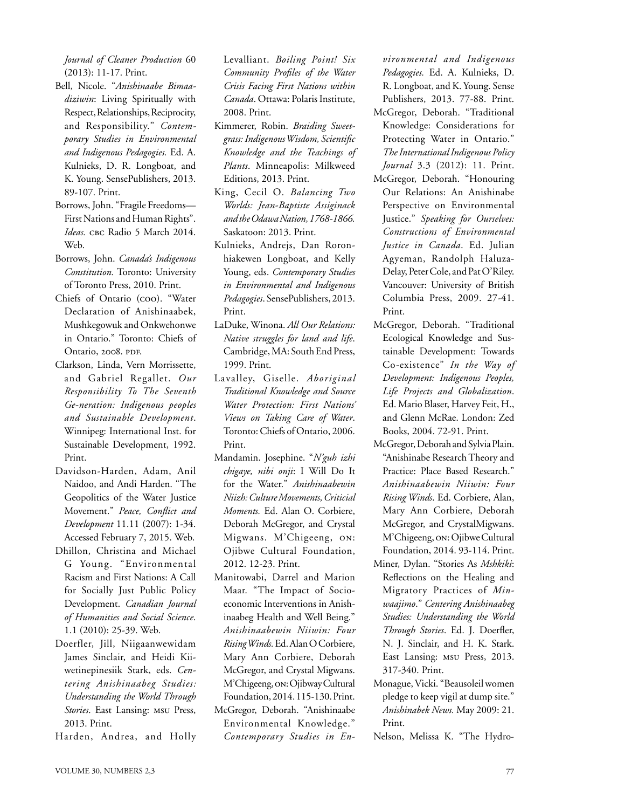*Journal of Cleaner Production* 60 (2013): 11-17. Print.

- Bell, Nicole. "*Anishinaabe Bimaadiziwin*: Living Spiritually with Respect, Relationships, Reciprocity, and Responsibility." *Contemporary Studies in Environmental and Indigenous Pedagogies.* Ed. A. Kulnieks, D. R. Longboat, and K. Young. SensePublishers, 2013. 89-107. Print.
- Borrows, John. "Fragile Freedoms— First Nations and Human Rights". Ideas. CBC Radio 5 March 2014. Web.
- Borrows, John. *Canada's Indigenous Constitution.* Toronto: University of Toronto Press, 2010. Print.
- Chiefs of Ontario (coo). "Water Declaration of Anishinaabek, Mushkegowuk and Onkwehonwe in Ontario." Toronto: Chiefs of Ontario, 2008. PDF.
- Clarkson, Linda, Vern Morrissette, and Gabriel Regallet. *Our Responsibility To The Seventh Ge-neration: Indigenous peoples and Sustainable Development*. Winnipeg: International Inst. for Sustainable Development, 1992. Print.
- Davidson-Harden, Adam, Anil Naidoo, and Andi Harden. "The Geopolitics of the Water Justice Movement." *Peace, Conflict and Development* 11.11 (2007): 1-34. Accessed February 7, 2015. Web.
- Dhillon, Christina and Michael G Young. "Environmental Racism and First Nations: A Call for Socially Just Public Policy Development. *Canadian Journal of Humanities and Social Science*. 1.1 (2010): 25-39. Web.
- Doerfler, Jill, Niigaanwewidam James Sinclair, and Heidi Kiiwetinepinesiik Stark, eds. *Centering Anishinaabeg Studies: Understanding the World Through Stories*. East Lansing: msu Press, 2013. Print.
- Harden, Andrea, and Holly

Levalliant. *Boiling Point! Six Community Profiles of the Water Crisis Facing First Nations within Canada*. Ottawa: Polaris Institute, 2008. Print.

- Kimmerer, Robin. *Braiding Sweetgrass: Indigenous Wisdom, Scientific Knowledge and the Teachings of Plants*. Minneapolis: Milkweed Editions, 2013. Print.
- King, Cecil O. *Balancing Two Worlds: Jean-Baptiste Assiginack and the Odawa Nation, 1768-1866.* Saskatoon: 2013. Print.
- Kulnieks, Andrejs, Dan Roronhiakewen Longboat, and Kelly Young, eds. *Contemporary Studies in Environmental and Indigenous Pedagogies*. SensePublishers, 2013. Print.
- LaDuke, Winona. *All Our Relations: Native struggles for land and life*. Cambridge, MA: South End Press, 1999. Print.
- Lavalley, Giselle. *Aboriginal Traditional Knowledge and Source Water Protection: First Nations' Views on Taking Care of Water*. Toronto: Chiefs of Ontario, 2006. Print.
- Mandamin. Josephine. "*N'guh izhi chigaye, nibi onji*: I Will Do It for the Water." *Anishinaabewin Niizh: Culture Movements, Criticial Moments.* Ed. Alan O. Corbiere, Deborah McGregor, and Crystal Migwans. M'Chigeeng, on: Ojibwe Cultural Foundation, 2012. 12-23. Print.
- Manitowabi, Darrel and Marion Maar. "The Impact of Socioeconomic Interventions in Anishinaabeg Health and Well Being." *Anishinaabewin Niiwin: Four Rising Winds.* Ed. Alan O Corbiere, Mary Ann Corbiere, Deborah McGregor, and Crystal Migwans. M'Chigeeng, on: Ojibway Cultural Foundation, 2014. 115-130. Print. McGregor, Deborah. "Anishinaabe Environmental Knowledge." *Contemporary Studies in En-*

*vironmental and Indigenous Pedagogies.* Ed. A. Kulnieks, D. R. Longboat, and K. Young. Sense Publishers, 2013. 77-88. Print.

- McGregor, Deborah. "Traditional Knowledge: Considerations for Protecting Water in Ontario." *The International Indigenous Policy Journal* 3.3 (2012): 11. Print.
- McGregor, Deborah. "Honouring Our Relations: An Anishinabe Perspective on Environmental Justice." *Speaking for Ourselves: Constructions of Environmental Justice in Canada*. Ed. Julian Agyeman, Randolph Haluza-Delay, Peter Cole, and Pat O'Riley. Vancouver: University of British Columbia Press, 2009. 27-41. Print.
- McGregor, Deborah. "Traditional Ecological Knowledge and Sustainable Development: Towards Co-existence" *In the Way of Development: Indigenous Peoples, Life Projects and Globalization*. Ed. Mario Blaser, Harvey Feit, H., and Glenn McRae. London: Zed Books, 2004. 72-91. Print.
- McGregor, Deborah and Sylvia Plain. "Anishinabe Research Theory and Practice: Place Based Research." *Anishinaabewin Niiwin: Four Rising Winds*. Ed. Corbiere, Alan, Mary Ann Corbiere, Deborah McGregor, and CrystalMigwans. M'Chigeeng, on: Ojibwe Cultural Foundation, 2014. 93-114. Print.
- Miner, Dylan. "Stories As *Mshkiki*: Reflections on the Healing and Migratory Practices of *Minwaajimo*." *Centering Anishinaabeg Studies: Understanding the World Through Stories*. Ed. J. Doerfler, N. J. Sinclair, and H. K. Stark. East Lansing: msu Press, 2013. 317-340. Print.
- Monague, Vicki. "Beausoleil women pledge to keep vigil at dump site." *Anishinabek News.* May 2009: 21. Print.

Nelson, Melissa K. "The Hydro-